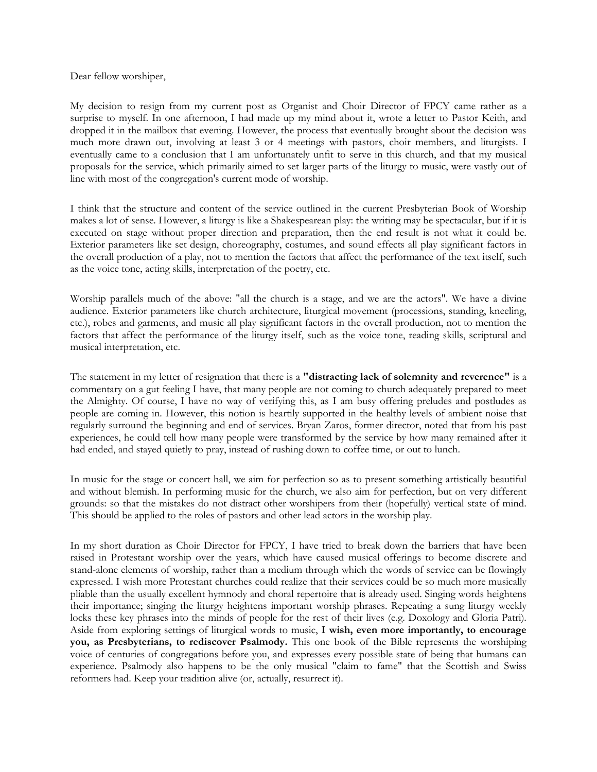Dear fellow worshiper,

My decision to resign from my current post as Organist and Choir Director of FPCY came rather as a surprise to myself. In one afternoon, I had made up my mind about it, wrote a letter to Pastor Keith, and dropped it in the mailbox that evening. However, the process that eventually brought about the decision was much more drawn out, involving at least 3 or 4 meetings with pastors, choir members, and liturgists. I eventually came to a conclusion that I am unfortunately unfit to serve in this church, and that my musical proposals for the service, which primarily aimed to set larger parts of the liturgy to music, were vastly out of line with most of the congregation's current mode of worship.

I think that the structure and content of the service outlined in the current Presbyterian Book of Worship makes a lot of sense. However, a liturgy is like a Shakespearean play: the writing may be spectacular, but if it is executed on stage without proper direction and preparation, then the end result is not what it could be. Exterior parameters like set design, choreography, costumes, and sound effects all play significant factors in the overall production of a play, not to mention the factors that affect the performance of the text itself, such as the voice tone, acting skills, interpretation of the poetry, etc.

Worship parallels much of the above: "all the church is a stage, and we are the actors". We have a divine audience. Exterior parameters like church architecture, liturgical movement (processions, standing, kneeling, etc.), robes and garments, and music all play significant factors in the overall production, not to mention the factors that affect the performance of the liturgy itself, such as the voice tone, reading skills, scriptural and musical interpretation, etc.

The statement in my letter of resignation that there is a **"distracting lack of solemnity and reverence"** is a commentary on a gut feeling I have, that many people are not coming to church adequately prepared to meet the Almighty. Of course, I have no way of verifying this, as I am busy offering preludes and postludes as people are coming in. However, this notion is heartily supported in the healthy levels of ambient noise that regularly surround the beginning and end of services. Bryan Zaros, former director, noted that from his past experiences, he could tell how many people were transformed by the service by how many remained after it had ended, and stayed quietly to pray, instead of rushing down to coffee time, or out to lunch.

In music for the stage or concert hall, we aim for perfection so as to present something artistically beautiful and without blemish. In performing music for the church, we also aim for perfection, but on very different grounds: so that the mistakes do not distract other worshipers from their (hopefully) vertical state of mind. This should be applied to the roles of pastors and other lead actors in the worship play.

In my short duration as Choir Director for FPCY, I have tried to break down the barriers that have been raised in Protestant worship over the years, which have caused musical offerings to become discrete and stand-alone elements of worship, rather than a medium through which the words of service can be flowingly expressed. I wish more Protestant churches could realize that their services could be so much more musically pliable than the usually excellent hymnody and choral repertoire that is already used. Singing words heightens their importance; singing the liturgy heightens important worship phrases. Repeating a sung liturgy weekly locks these key phrases into the minds of people for the rest of their lives (e.g. Doxology and Gloria Patri). Aside from exploring settings of liturgical words to music, **I wish, even more importantly, to encourage you, as Presbyterians, to rediscover Psalmody.** This one book of the Bible represents the worshiping voice of centuries of congregations before you, and expresses every possible state of being that humans can experience. Psalmody also happens to be the only musical "claim to fame" that the Scottish and Swiss reformers had. Keep your tradition alive (or, actually, resurrect it).